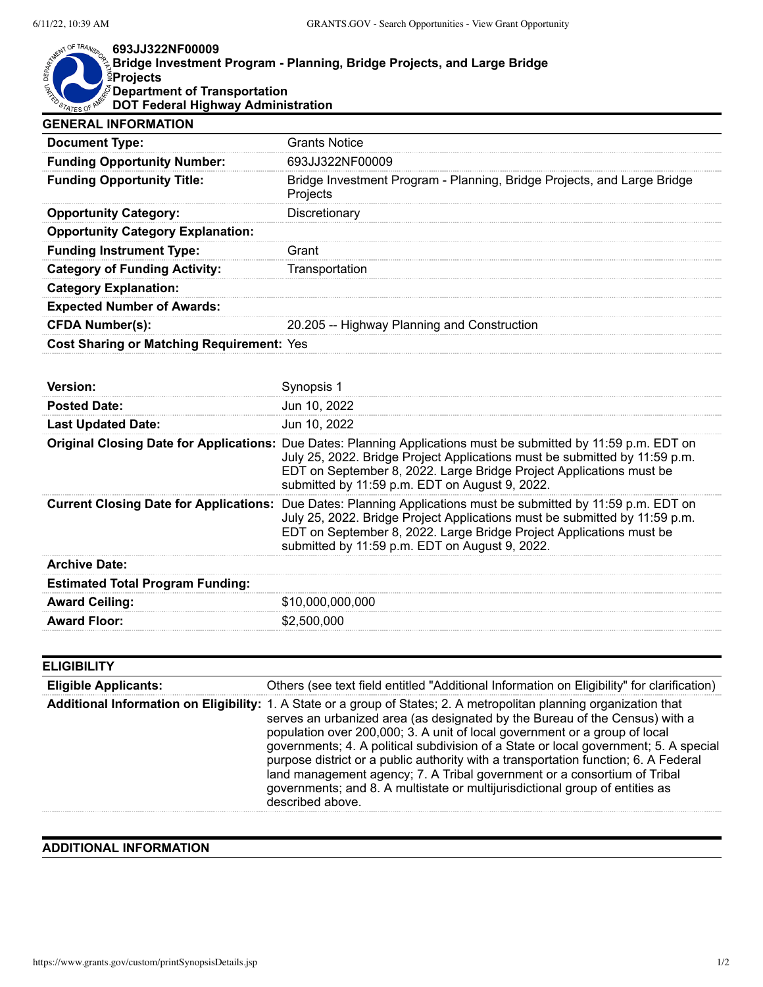## **693JJ322NF00009**

| $\mathring{\mathbb{R}}$ Bridge Investment Program - Planning, Bridge Projects, and Large Bridge |  |
|-------------------------------------------------------------------------------------------------|--|
|                                                                                                 |  |
| <i>S</i> Department of Transportation                                                           |  |
| <b>DOT Federal Highway Administration</b>                                                       |  |

| <b>GENERAL INFORMATION</b>                    |                                                                                                                                                                                                                                                                                                                        |
|-----------------------------------------------|------------------------------------------------------------------------------------------------------------------------------------------------------------------------------------------------------------------------------------------------------------------------------------------------------------------------|
| <b>Document Type:</b>                         | <b>Grants Notice</b>                                                                                                                                                                                                                                                                                                   |
| <b>Funding Opportunity Number:</b>            | 693JJ322NF00009                                                                                                                                                                                                                                                                                                        |
| <b>Funding Opportunity Title:</b>             | Bridge Investment Program - Planning, Bridge Projects, and Large Bridge<br>Projects                                                                                                                                                                                                                                    |
| <b>Opportunity Category:</b>                  | Discretionary                                                                                                                                                                                                                                                                                                          |
| <b>Opportunity Category Explanation:</b>      |                                                                                                                                                                                                                                                                                                                        |
| <b>Funding Instrument Type:</b>               | Grant                                                                                                                                                                                                                                                                                                                  |
| <b>Category of Funding Activity:</b>          | Transportation                                                                                                                                                                                                                                                                                                         |
| <b>Category Explanation:</b>                  |                                                                                                                                                                                                                                                                                                                        |
| <b>Expected Number of Awards:</b>             |                                                                                                                                                                                                                                                                                                                        |
| <b>CFDA Number(s):</b>                        | 20.205 -- Highway Planning and Construction                                                                                                                                                                                                                                                                            |
| Cost Sharing or Matching Requirement: Yes     |                                                                                                                                                                                                                                                                                                                        |
|                                               |                                                                                                                                                                                                                                                                                                                        |
| Version:                                      | Synopsis 1                                                                                                                                                                                                                                                                                                             |
| <b>Posted Date:</b>                           | Jun 10, 2022                                                                                                                                                                                                                                                                                                           |
| <b>Last Updated Date:</b>                     | Jun 10, 2022                                                                                                                                                                                                                                                                                                           |
|                                               | Original Closing Date for Applications: Due Dates: Planning Applications must be submitted by 11:59 p.m. EDT on<br>July 25, 2022. Bridge Project Applications must be submitted by 11:59 p.m.<br>EDT on September 8, 2022. Large Bridge Project Applications must be<br>submitted by 11:59 p.m. EDT on August 9, 2022. |
| <b>Current Closing Date for Applications:</b> | Due Dates: Planning Applications must be submitted by 11:59 p.m. EDT on<br>July 25, 2022. Bridge Project Applications must be submitted by 11:59 p.m.<br>EDT on September 8, 2022. Large Bridge Project Applications must be<br>submitted by 11:59 p.m. EDT on August 9, 2022.                                         |
| <b>Archive Date:</b>                          |                                                                                                                                                                                                                                                                                                                        |
| <b>Estimated Total Program Funding:</b>       |                                                                                                                                                                                                                                                                                                                        |
| <b>Award Ceiling:</b>                         | \$10,000,000,000                                                                                                                                                                                                                                                                                                       |

| <b>ELIGIBILITY</b>          |                                                                                                                                                                                                                                                                                                                                                                                                                                                                                                                                                                                                                                                  |
|-----------------------------|--------------------------------------------------------------------------------------------------------------------------------------------------------------------------------------------------------------------------------------------------------------------------------------------------------------------------------------------------------------------------------------------------------------------------------------------------------------------------------------------------------------------------------------------------------------------------------------------------------------------------------------------------|
| <b>Eligible Applicants:</b> | Others (see text field entitled "Additional Information on Eligibility" for clarification)                                                                                                                                                                                                                                                                                                                                                                                                                                                                                                                                                       |
|                             | Additional Information on Eligibility: 1. A State or a group of States; 2. A metropolitan planning organization that<br>serves an urbanized area (as designated by the Bureau of the Census) with a<br>population over 200,000; 3. A unit of local government or a group of local<br>governments; 4. A political subdivision of a State or local government; 5. A special<br>purpose district or a public authority with a transportation function; 6. A Federal<br>land management agency; 7. A Tribal government or a consortium of Tribal<br>governments; and 8. A multistate or multijurisdictional group of entities as<br>described above. |

## **ADDITIONAL INFORMATION**

**Award Floor:** \$2,500,000